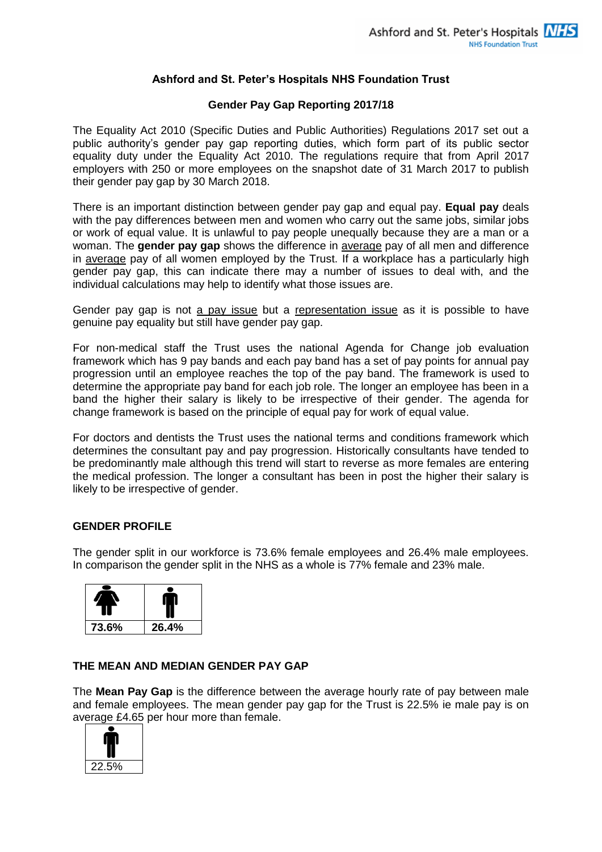### **Ashford and St. Peter's Hospitals NHS Foundation Trust**

#### **Gender Pay Gap Reporting 2017/18**

The Equality Act 2010 (Specific Duties and Public Authorities) Regulations 2017 set out a public authority's gender pay gap reporting duties, which form part of its public sector equality duty under the Equality Act 2010. The regulations require that from April 2017 employers with 250 or more employees on the snapshot date of 31 March 2017 to publish their gender pay gap by 30 March 2018.

There is an important distinction between gender pay gap and equal pay. **Equal pay** deals with the pay differences between men and women who carry out the same jobs, similar jobs or work of equal value. It is unlawful to pay people unequally because they are a man or a woman. The **gender pay gap** shows the difference in average pay of all men and difference in average pay of all women employed by the Trust. If a workplace has a particularly high gender pay gap, this can indicate there may a number of issues to deal with, and the individual calculations may help to identify what those issues are.

Gender pay gap is not a pay issue but a representation issue as it is possible to have genuine pay equality but still have gender pay gap.

For non-medical staff the Trust uses the national Agenda for Change job evaluation framework which has 9 pay bands and each pay band has a set of pay points for annual pay progression until an employee reaches the top of the pay band. The framework is used to determine the appropriate pay band for each job role. The longer an employee has been in a band the higher their salary is likely to be irrespective of their gender. The agenda for change framework is based on the principle of equal pay for work of equal value.

For doctors and dentists the Trust uses the national terms and conditions framework which determines the consultant pay and pay progression. Historically consultants have tended to be predominantly male although this trend will start to reverse as more females are entering the medical profession. The longer a consultant has been in post the higher their salary is likely to be irrespective of gender.

### **GENDER PROFILE**

The gender split in our workforce is 73.6% female employees and 26.4% male employees. In comparison the gender split in the NHS as a whole is 77% female and 23% male.



### **THE MEAN AND MEDIAN GENDER PAY GAP**

The **Mean Pay Gap** is the difference between the average hourly rate of pay between male and female employees. The mean gender pay gap for the Trust is 22.5% ie male pay is on average £4.65 per hour more than female.

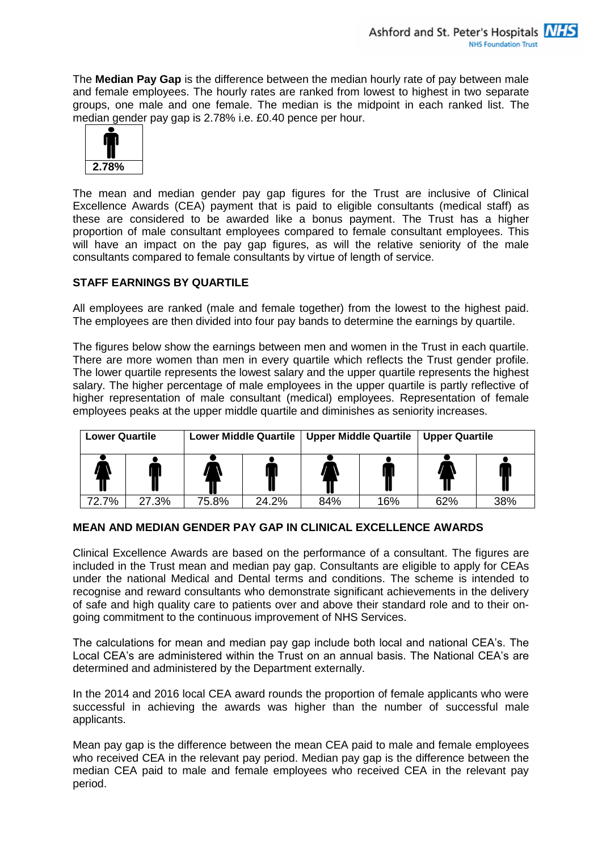The **Median Pay Gap** is the difference between the median hourly rate of pay between male and female employees. The hourly rates are ranked from lowest to highest in two separate groups, one male and one female. The median is the midpoint in each ranked list. The median gender pay gap is 2.78% i.e. £0.40 pence per hour.



The mean and median gender pay gap figures for the Trust are inclusive of Clinical Excellence Awards (CEA) payment that is paid to eligible consultants (medical staff) as these are considered to be awarded like a bonus payment. The Trust has a higher proportion of male consultant employees compared to female consultant employees. This will have an impact on the pay gap figures, as will the relative seniority of the male consultants compared to female consultants by virtue of length of service.

# **STAFF EARNINGS BY QUARTILE**

All employees are ranked (male and female together) from the lowest to the highest paid. The employees are then divided into four pay bands to determine the earnings by quartile.

The figures below show the earnings between men and women in the Trust in each quartile. There are more women than men in every quartile which reflects the Trust gender profile. The lower quartile represents the lowest salary and the upper quartile represents the highest salary. The higher percentage of male employees in the upper quartile is partly reflective of higher representation of male consultant (medical) employees. Representation of female employees peaks at the upper middle quartile and diminishes as seniority increases.

| <b>Lower Quartile</b> |       | <b>Lower Middle Quartile</b> |       | <b>Upper Middle Quartile</b> |     | <b>Upper Quartile</b> |     |  |
|-----------------------|-------|------------------------------|-------|------------------------------|-----|-----------------------|-----|--|
|                       |       |                              |       |                              |     |                       |     |  |
| 72.7%                 | 27.3% | 75.8%                        | 24.2% | 84%                          | 16% | 62%                   | 38% |  |

# **MEAN AND MEDIAN GENDER PAY GAP IN CLINICAL EXCELLENCE AWARDS**

Clinical Excellence Awards are based on the performance of a consultant. The figures are included in the Trust mean and median pay gap. Consultants are eligible to apply for CEAs under the national Medical and Dental terms and conditions. The scheme is intended to recognise and reward consultants who demonstrate significant achievements in the delivery of safe and high quality care to patients over and above their standard role and to their ongoing commitment to the continuous improvement of NHS Services.

The calculations for mean and median pay gap include both local and national CEA's. The Local CEA's are administered within the Trust on an annual basis. The National CEA's are determined and administered by the Department externally.

In the 2014 and 2016 local CEA award rounds the proportion of female applicants who were successful in achieving the awards was higher than the number of successful male applicants.

Mean pay gap is the difference between the mean CEA paid to male and female employees who received CEA in the relevant pay period. Median pay gap is the difference between the median CEA paid to male and female employees who received CEA in the relevant pay period.